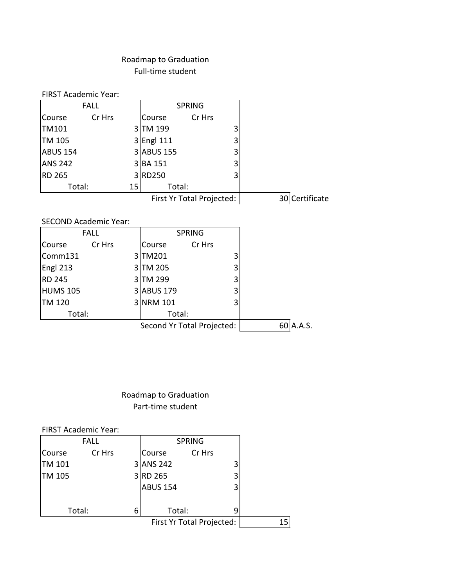## Roadmap to Graduation Full-time student

| <b>FIRST Academic Year:</b> |        |                 |                           |                |
|-----------------------------|--------|-----------------|---------------------------|----------------|
| <b>FALL</b>                 |        |                 | <b>SPRING</b>             |                |
| <b>Course</b>               | Cr Hrs | Course          | Cr Hrs                    |                |
| <b>TM101</b>                |        | TM 199          | 3                         |                |
| TM 105                      | 31     | <b>Engl 111</b> | 3                         |                |
| <b>ABUS 154</b>             |        | 3 ABUS 155      | 3                         |                |
| <b>ANS 242</b>              | 31     | <b>BA 151</b>   | 3                         |                |
| <b>RD 265</b>               |        | 3RD250          |                           |                |
| Total:                      | 15     | Total:          |                           |                |
|                             |        |                 | First Yr Total Projected: | 30 Certificate |

SECOND Academic Year:

|                 | <b>FALL</b> |                            | <b>SPRING</b> |   |              |
|-----------------|-------------|----------------------------|---------------|---|--------------|
| Course          | Cr Hrs      | <b>Course</b>              | Cr Hrs        |   |              |
| Comm131         |             | 3TM201                     |               | 3 |              |
| Engl 213        |             | 3TM 205                    |               | 3 |              |
| <b>RD 245</b>   |             | 3TM 299                    |               | 3 |              |
| <b>HUMS 105</b> |             | 3 ABUS 179                 |               | 3 |              |
| <b>TM 120</b>   |             | 3 NRM 101                  |               | 3 |              |
| Total:          |             | Total:                     |               |   |              |
|                 |             | Second Yr Total Projected: |               |   | A.A.S.<br>60 |

Roadmap to Graduation Part-time student

FIRST Academic Year:

| <b>FALL</b> |        |   | <b>SPRING</b>             |        |   |
|-------------|--------|---|---------------------------|--------|---|
| Course      | Cr Hrs |   | Course                    | Cr Hrs |   |
| TM 101      |        |   | 3 ANS 242                 |        |   |
| TM 105      |        |   | 3RD 265                   |        |   |
|             |        |   | <b>ABUS 154</b>           |        | 3 |
|             |        |   |                           |        |   |
|             | Total: | 6 | Total:                    |        |   |
|             |        |   | First Yr Total Projected: |        |   |